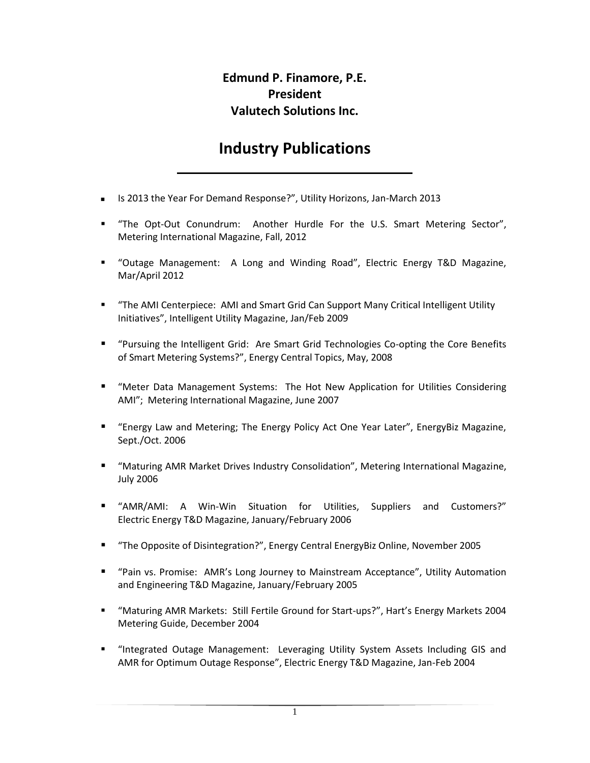## **Edmund P. Finamore, P.E. President Valutech Solutions Inc.**

## **Industry Publications**

**\_\_\_\_\_\_\_\_\_\_\_\_\_\_\_\_\_\_\_\_\_\_\_\_\_\_\_\_\_\_\_\_\_\_\_**

- Is 2013 the Year For Demand Response?", Utility Horizons, Jan-March 2013
- " "The Opt-Out Conundrum: Another Hurdle For the U.S. Smart Metering Sector", Metering International Magazine, Fall, 2012
- "Outage Management: A Long and Winding Road", Electric Energy T&D Magazine, Mar/April 2012
- "The AMI Centerpiece: AMI and Smart Grid Can Support Many Critical Intelligent Utility Initiatives", Intelligent Utility Magazine, Jan/Feb 2009
- "Pursuing the Intelligent Grid: Are Smart Grid Technologies Co-opting the Core Benefits of Smart Metering Systems?", Energy Central Topics, May, 2008
- "Meter Data Management Systems: The Hot New Application for Utilities Considering AMI"; Metering International Magazine, June 2007
- "Energy Law and Metering; The Energy Policy Act One Year Later", EnergyBiz Magazine, Sept./Oct. 2006
- "Maturing AMR Market Drives Industry Consolidation", Metering International Magazine, July 2006
- "AMR/AMI: A Win-Win Situation for Utilities, Suppliers and Customers?" Electric Energy T&D Magazine, January/February 2006
- "The Opposite of Disintegration?", Energy Central EnergyBiz Online, November 2005
- "Pain vs. Promise: AMR's Long Journey to Mainstream Acceptance", Utility Automation and Engineering T&D Magazine, January/February 2005
- "Maturing AMR Markets: Still Fertile Ground for Start-ups?", Hart's Energy Markets 2004 Metering Guide, December 2004
- "Integrated Outage Management: Leveraging Utility System Assets Including GIS and AMR for Optimum Outage Response", Electric Energy T&D Magazine, Jan-Feb 2004